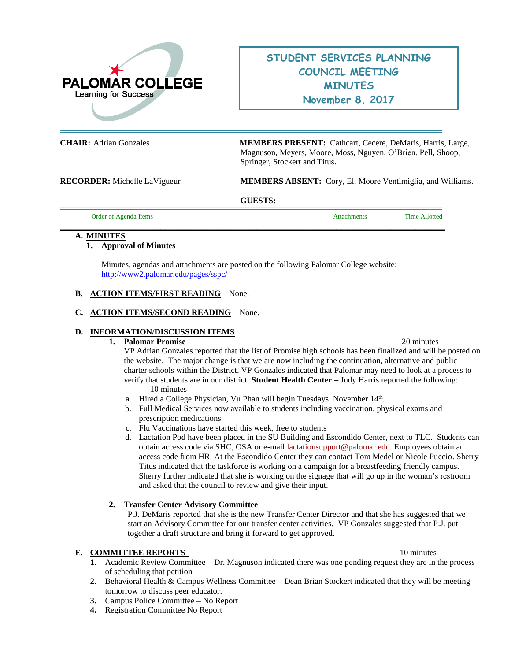

# **STUDENT SERVICES PLANNING COUNCIL MEETING MINUTES November 8, 2017**

**CHAIR:** Adrian Gonzales **MEMBERS PRESENT:** Cathcart, Cecere, DeMaris, Harris, Large, Magnuson, Meyers, Moore, Moss, Nguyen, O'Brien, Pell, Shoop, Springer, Stockert and Titus.

**RECORDER:** Michelle LaVigueur **MEMBERS ABSENT:** Cory, El, Moore Ventimiglia, and Williams.

**GUESTS:** 

| Order of Agenda Items | <b>Attachments</b> | <b>Time Allotted</b> |
|-----------------------|--------------------|----------------------|
|                       |                    |                      |

# **A. MINUTES**

# **1. Approval of Minutes**

Minutes, agendas and attachments are posted on the following Palomar College website: <http://www2.palomar.edu/pages/sspc/>

# **B. ACTION ITEMS/FIRST READING** – None.

# **C. ACTION ITEMS/SECOND READING** – None.

# **D. INFORMATION/DISCUSSION ITEMS**

### **1. Palomar Promise** 20 minutes

VP Adrian Gonzales reported that the list of Promise high schools has been finalized and will be posted on the website. The major change is that we are now including the continuation, alternative and public charter schools within the District. VP Gonzales indicated that Palomar may need to look at a process to verify that students are in our district. **Student Health Center –** Judy Harris reported the following: 10 minutes

- a. Hired a College Physician, Vu Phan will begin Tuesdays November 14<sup>th</sup>.
- b. Full Medical Services now available to students including vaccination, physical exams and prescription medications
- c. Flu Vaccinations have started this week, free to students
- d. Lactation Pod have been placed in the SU Building and Escondido Center, next to TLC. Students can obtain access code via SHC, OSA or e-mail [lactationsupport@palomar.edu.](mailto:lactationsupport@palomar.edu) Employees obtain an access code from HR. At the Escondido Center they can contact Tom Medel or Nicole Puccio. Sherry Titus indicated that the taskforce is working on a campaign for a breastfeeding friendly campus. Sherry further indicated that she is working on the signage that will go up in the woman's restroom and asked that the council to review and give their input.

# **2. Transfer Center Advisory Committee** –

P.J. DeMaris reported that she is the new Transfer Center Director and that she has suggested that we start an Advisory Committee for our transfer center activities. VP Gonzales suggested that P.J. put together a draft structure and bring it forward to get approved.

### **E. COMMITTEE REPORTS** 10 minutes

- **1.** Academic Review Committee Dr. Magnuson indicated there was one pending request they are in the process
- of scheduling that petition **2.** Behavioral Health & Campus Wellness Committee – Dean Brian Stockert indicated that they will be meeting tomorrow to discuss peer educator.
- **3.** Campus Police Committee No Report
- **4.** Registration Committee No Report